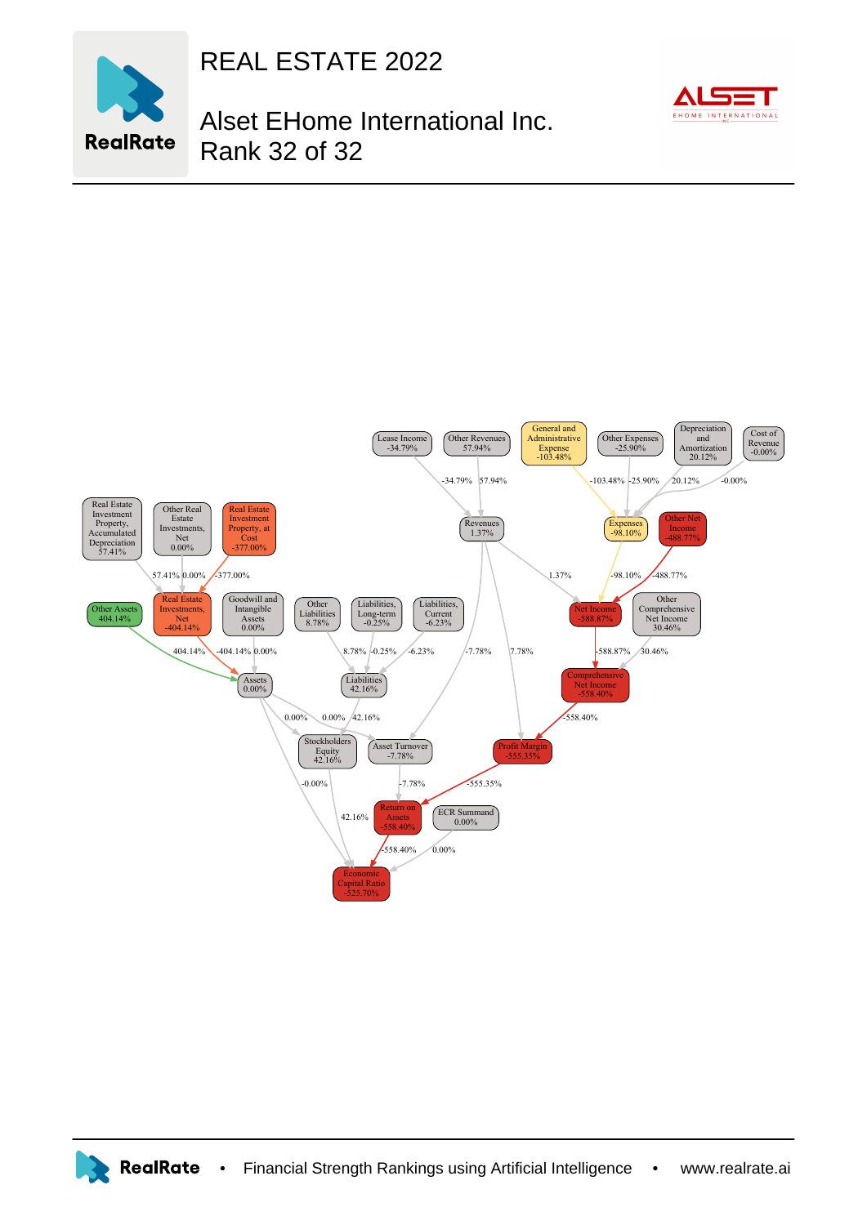

REAL ESTATE 2022

## Alset EHome International Inc. Rank 32 of 32